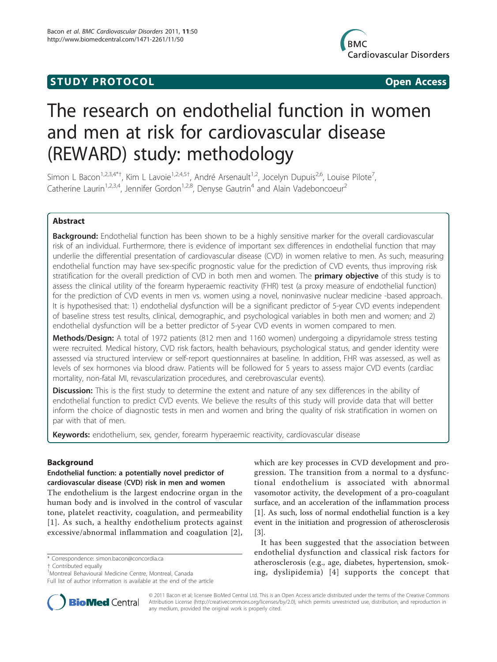## **STUDY PROTOCOL** And the state of the state of the state of the state of the state of the state of the state of the state of the state of the state of the state of the state of the state of the state of the state of the st



# The research on endothelial function in women and men at risk for cardiovascular disease (REWARD) study: methodology

Simon L Bacon<sup>1,2,3,4\*†</sup>, Kim L Lavoie<sup>1,2,4,5†</sup>, André Arsenault<sup>1,2</sup>, Jocelyn Dupuis<sup>2,6</sup>, Louise Pilote<sup>7</sup> , Catherine Laurin<sup>1,2,3,4</sup>, Jennifer Gordon<sup>1,2,8</sup>, Denyse Gautrin<sup>4</sup> and Alain Vadeboncoeur<sup>2</sup>

## Abstract

**Background:** Endothelial function has been shown to be a highly sensitive marker for the overall cardiovascular risk of an individual. Furthermore, there is evidence of important sex differences in endothelial function that may underlie the differential presentation of cardiovascular disease (CVD) in women relative to men. As such, measuring endothelial function may have sex-specific prognostic value for the prediction of CVD events, thus improving risk stratification for the overall prediction of CVD in both men and women. The **primary objective** of this study is to assess the clinical utility of the forearm hyperaemic reactivity (FHR) test (a proxy measure of endothelial function) for the prediction of CVD events in men vs. women using a novel, noninvasive nuclear medicine -based approach. It is hypothesised that: 1) endothelial dysfunction will be a significant predictor of 5-year CVD events independent of baseline stress test results, clinical, demographic, and psychological variables in both men and women; and 2) endothelial dysfunction will be a better predictor of 5-year CVD events in women compared to men.

Methods/Design: A total of 1972 patients (812 men and 1160 women) undergoing a dipyridamole stress testing were recruited. Medical history, CVD risk factors, health behaviours, psychological status, and gender identity were assessed via structured interview or self-report questionnaires at baseline. In addition, FHR was assessed, as well as levels of sex hormones via blood draw. Patients will be followed for 5 years to assess major CVD events (cardiac mortality, non-fatal MI, revascularization procedures, and cerebrovascular events).

**Discussion:** This is the first study to determine the extent and nature of any sex differences in the ability of endothelial function to predict CVD events. We believe the results of this study will provide data that will better inform the choice of diagnostic tests in men and women and bring the quality of risk stratification in women on par with that of men.

Keywords: endothelium, sex, gender, forearm hyperaemic reactivity, cardiovascular disease

## Background

## Endothelial function: a potentially novel predictor of cardiovascular disease (CVD) risk in men and women

The endothelium is the largest endocrine organ in the human body and is involved in the control of vascular tone, platelet reactivity, coagulation, and permeability [[1](#page-7-0)]. As such, a healthy endothelium protects against excessive/abnormal inflammation and coagulation [[2](#page-7-0)],

† Contributed equally <sup>1</sup>



It has been suggested that the association between endothelial dysfunction and classical risk factors for atherosclerosis (e.g., age, diabetes, hypertension, smoking, dyslipidemia) [[4](#page-7-0)] supports the concept that



© 2011 Bacon et al; licensee BioMed Central Ltd. This is an Open Access article distributed under the terms of the Creative Commons Attribution License [\(http://creativecommons.org/licenses/by/2.0](http://creativecommons.org/licenses/by/2.0)), which permits unrestricted use, distribution, and reproduction in any medium, provided the original work is properly cited.

<sup>\*</sup> Correspondence: [simon.bacon@concordia.ca](mailto:simon.bacon@concordia.ca)

<sup>&</sup>lt;sup>1</sup>Montreal Behavioural Medicine Centre, Montreal, Canada

Full list of author information is available at the end of the article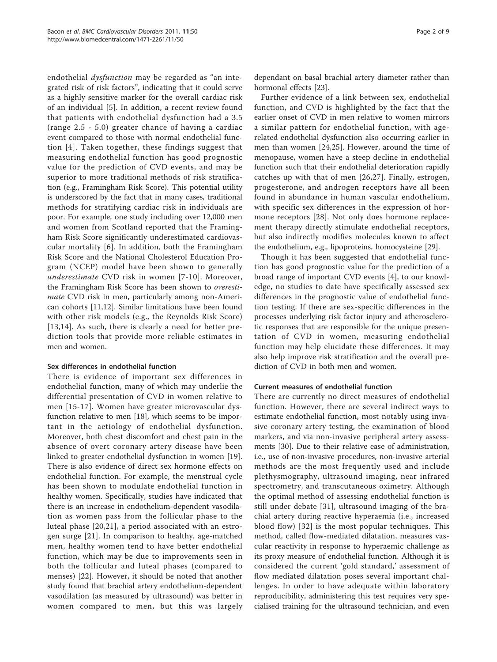endothelial *dysfunction* may be regarded as "an integrated risk of risk factors", indicating that it could serve as a highly sensitive marker for the overall cardiac risk of an individual [[5\]](#page-7-0). In addition, a recent review found that patients with endothelial dysfunction had a 3.5 (range 2.5 - 5.0) greater chance of having a cardiac event compared to those with normal endothelial function [[4](#page-7-0)]. Taken together, these findings suggest that measuring endothelial function has good prognostic value for the prediction of CVD events, and may be superior to more traditional methods of risk stratification (e.g., Framingham Risk Score). This potential utility is underscored by the fact that in many cases, traditional methods for stratifying cardiac risk in individuals are poor. For example, one study including over 12,000 men and women from Scotland reported that the Framingham Risk Score significantly underestimated cardiovascular mortality [[6](#page-7-0)]. In addition, both the Framingham Risk Score and the National Cholesterol Education Program (NCEP) model have been shown to generally underestimate CVD risk in women [[7](#page-7-0)-[10\]](#page-7-0). Moreover, the Framingham Risk Score has been shown to overesti*mate* CVD risk in men, particularly among non-American cohorts [[11](#page-7-0),[12\]](#page-7-0). Similar limitations have been found with other risk models (e.g., the Reynolds Risk Score) [[13,14\]](#page-7-0). As such, there is clearly a need for better prediction tools that provide more reliable estimates in men and women.

## Sex differences in endothelial function

There is evidence of important sex differences in endothelial function, many of which may underlie the differential presentation of CVD in women relative to men [[15-17](#page-7-0)]. Women have greater microvascular dysfunction relative to men [[18](#page-7-0)], which seems to be important in the aetiology of endothelial dysfunction. Moreover, both chest discomfort and chest pain in the absence of overt coronary artery disease have been linked to greater endothelial dysfunction in women [\[19](#page-7-0)]. There is also evidence of direct sex hormone effects on endothelial function. For example, the menstrual cycle has been shown to modulate endothelial function in healthy women. Specifically, studies have indicated that there is an increase in endothelium-dependent vasodilation as women pass from the follicular phase to the luteal phase [[20](#page-7-0),[21\]](#page-7-0), a period associated with an estrogen surge [\[21\]](#page-7-0). In comparison to healthy, age-matched men, healthy women tend to have better endothelial function, which may be due to improvements seen in both the follicular and luteal phases (compared to menses) [[22\]](#page-7-0). However, it should be noted that another study found that brachial artery endothelium-dependent vasodilation (as measured by ultrasound) was better in women compared to men, but this was largely

dependant on basal brachial artery diameter rather than hormonal effects [[23](#page-7-0)].

Further evidence of a link between sex, endothelial function, and CVD is highlighted by the fact that the earlier onset of CVD in men relative to women mirrors a similar pattern for endothelial function, with agerelated endothelial dysfunction also occurring earlier in men than women [\[24](#page-7-0),[25](#page-7-0)]. However, around the time of menopause, women have a steep decline in endothelial function such that their endothelial deterioration rapidly catches up with that of men [[26,27\]](#page-7-0). Finally, estrogen, progesterone, and androgen receptors have all been found in abundance in human vascular endothelium, with specific sex differences in the expression of hormone receptors [[28\]](#page-7-0). Not only does hormone replacement therapy directly stimulate endothelial receptors, but also indirectly modifies molecules known to affect the endothelium, e.g., lipoproteins, homocysteine [\[29](#page-7-0)].

Though it has been suggested that endothelial function has good prognostic value for the prediction of a broad range of important CVD events [[4\]](#page-7-0), to our knowledge, no studies to date have specifically assessed sex differences in the prognostic value of endothelial function testing. If there are sex-specific differences in the processes underlying risk factor injury and atherosclerotic responses that are responsible for the unique presentation of CVD in women, measuring endothelial function may help elucidate these differences. It may also help improve risk stratification and the overall prediction of CVD in both men and women.

#### Current measures of endothelial function

There are currently no direct measures of endothelial function. However, there are several indirect ways to estimate endothelial function, most notably using invasive coronary artery testing, the examination of blood markers, and via non-invasive peripheral artery assessments [[30\]](#page-7-0). Due to their relative ease of administration, i.e., use of non-invasive procedures, non-invasive arterial methods are the most frequently used and include plethysmography, ultrasound imaging, near infrared spectrometry, and transcutaneous oximetry. Although the optimal method of assessing endothelial function is still under debate [[31\]](#page-7-0), ultrasound imaging of the brachial artery during reactive hyperaemia (i.e., increased blood flow) [\[32\]](#page-7-0) is the most popular techniques. This method, called flow-mediated dilatation, measures vascular reactivity in response to hyperaemic challenge as its proxy measure of endothelial function. Although it is considered the current 'gold standard,' assessment of flow mediated dilatation poses several important challenges. In order to have adequate within laboratory reproducibility, administering this test requires very specialised training for the ultrasound technician, and even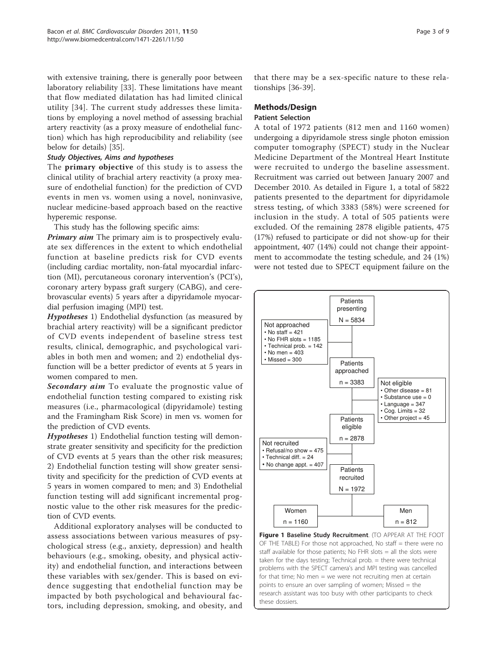with extensive training, there is generally poor between laboratory reliability [[33\]](#page-7-0). These limitations have meant that flow mediated dilatation has had limited clinical utility [[34\]](#page-7-0). The current study addresses these limitations by employing a novel method of assessing brachial artery reactivity (as a proxy measure of endothelial function) which has high reproducibility and reliability (see below for details) [\[35\]](#page-8-0).

#### Study Objectives, Aims and hypotheses

The primary objective of this study is to assess the clinical utility of brachial artery reactivity (a proxy measure of endothelial function) for the prediction of CVD events in men vs. women using a novel, noninvasive, nuclear medicine-based approach based on the reactive hyperemic response.

This study has the following specific aims:

**Primary aim** The primary aim is to prospectively evaluate sex differences in the extent to which endothelial function at baseline predicts risk for CVD events (including cardiac mortality, non-fatal myocardial infarction (MI), percutaneous coronary intervention's (PCI's), coronary artery bypass graft surgery (CABG), and cerebrovascular events) 5 years after a dipyridamole myocardial perfusion imaging (MPI) test.

Hypotheses 1) Endothelial dysfunction (as measured by brachial artery reactivity) will be a significant predictor of CVD events independent of baseline stress test results, clinical, demographic, and psychological variables in both men and women; and 2) endothelial dysfunction will be a better predictor of events at 5 years in women compared to men.

Secondary aim To evaluate the prognostic value of endothelial function testing compared to existing risk measures (i.e., pharmacological (dipyridamole) testing and the Framingham Risk Score) in men vs. women for the prediction of CVD events.

Hypotheses 1) Endothelial function testing will demonstrate greater sensitivity and specificity for the prediction of CVD events at 5 years than the other risk measures; 2) Endothelial function testing will show greater sensitivity and specificity for the prediction of CVD events at 5 years in women compared to men; and 3) Endothelial function testing will add significant incremental prognostic value to the other risk measures for the prediction of CVD events.

Additional exploratory analyses will be conducted to assess associations between various measures of psychological stress (e.g., anxiety, depression) and health behaviours (e.g., smoking, obesity, and physical activity) and endothelial function, and interactions between these variables with sex/gender. This is based on evidence suggesting that endothelial function may be impacted by both psychological and behavioural factors, including depression, smoking, and obesity, and that there may be a sex-specific nature to these relationships [[36-39\]](#page-8-0).

## Methods/Design

#### Patient Selection

A total of 1972 patients (812 men and 1160 women) undergoing a dipyridamole stress single photon emission computer tomography (SPECT) study in the Nuclear Medicine Department of the Montreal Heart Institute were recruited to undergo the baseline assessment. Recruitment was carried out between January 2007 and December 2010. As detailed in Figure 1, a total of 5822 patients presented to the department for dipyridamole stress testing, of which 3383 (58%) were screened for inclusion in the study. A total of 505 patients were excluded. Of the remaining 2878 eligible patients, 475 (17%) refused to participate or did not show-up for their appointment, 407 (14%) could not change their appointment to accommodate the testing schedule, and 24 (1%) were not tested due to SPECT equipment failure on the



problems with the SPECT camera's and MPI testing was cancelled for that time: No men  $=$  we were not recruiting men at certain points to ensure an over sampling of women; Missed  $=$  the research assistant was too busy with other participants to check these dossiers.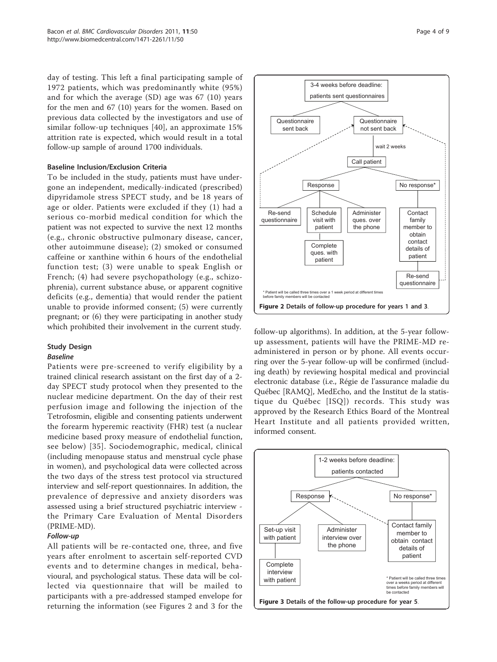day of testing. This left a final participating sample of 1972 patients, which was predominantly white (95%) and for which the average (SD) age was 67 (10) years for the men and 67 (10) years for the women. Based on previous data collected by the investigators and use of similar follow-up techniques [[40](#page-8-0)], an approximate 15% attrition rate is expected, which would result in a total follow-up sample of around 1700 individuals.

#### Baseline Inclusion/Exclusion Criteria

To be included in the study, patients must have undergone an independent, medically-indicated (prescribed) dipyridamole stress SPECT study, and be 18 years of age or older. Patients were excluded if they (1) had a serious co-morbid medical condition for which the patient was not expected to survive the next 12 months (e.g., chronic obstructive pulmonary disease, cancer, other autoimmune disease); (2) smoked or consumed caffeine or xanthine within 6 hours of the endothelial function test; (3) were unable to speak English or French; (4) had severe psychopathology (e.g., schizophrenia), current substance abuse, or apparent cognitive deficits (e.g., dementia) that would render the patient unable to provide informed consent; (5) were currently pregnant; or (6) they were participating in another study which prohibited their involvement in the current study.

## Study Design

## Baseline

Patients were pre-screened to verify eligibility by a trained clinical research assistant on the first day of a 2 day SPECT study protocol when they presented to the nuclear medicine department. On the day of their rest perfusion image and following the injection of the Tetrofosmin, eligible and consenting patients underwent the forearm hyperemic reactivity (FHR) test (a nuclear medicine based proxy measure of endothelial function, see below) [[35](#page-8-0)]. Sociodemographic, medical, clinical (including menopause status and menstrual cycle phase in women), and psychological data were collected across the two days of the stress test protocol via structured interview and self-report questionnaires. In addition, the prevalence of depressive and anxiety disorders was assessed using a brief structured psychiatric interview the Primary Care Evaluation of Mental Disorders (PRIME-MD).

## Follow-up

All patients will be re-contacted one, three, and five years after enrolment to ascertain self-reported CVD events and to determine changes in medical, behavioural, and psychological status. These data will be collected via questionnaire that will be mailed to participants with a pre-addressed stamped envelope for returning the information (see Figures 2 and 3 for the



follow-up algorithms). In addition, at the 5-year followup assessment, patients will have the PRIME-MD readministered in person or by phone. All events occurring over the 5-year follow-up will be confirmed (including death) by reviewing hospital medical and provincial electronic database (i.e., Régie de l'assurance maladie du Québec [RAMQ], MedEcho, and the Institut de la statistique du Québec [ISQ]) records. This study was approved by the Research Ethics Board of the Montreal Heart Institute and all patients provided written, informed consent.

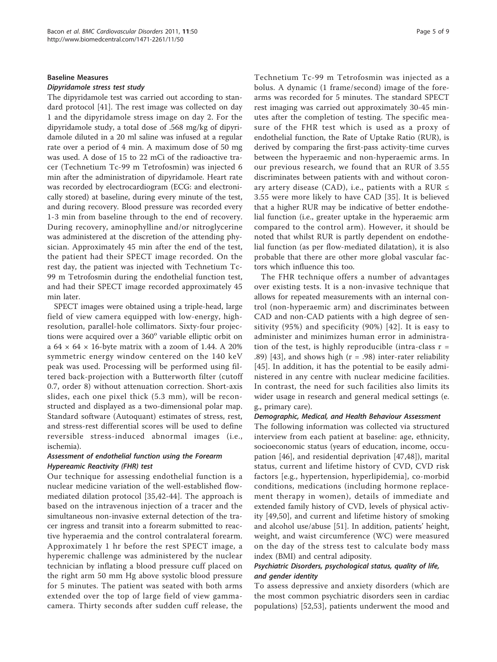#### Baseline Measures

#### Dipyridamole stress test study

The dipyridamole test was carried out according to standard protocol [[41\]](#page-8-0). The rest image was collected on day 1 and the dipyridamole stress image on day 2. For the dipyridamole study, a total dose of .568 mg/kg of dipyridamole diluted in a 20 ml saline was infused at a regular rate over a period of 4 min. A maximum dose of 50 mg was used. A dose of 15 to 22 mCi of the radioactive tracer (Technetium Tc-99 m Tetrofosmin) was injected 6 min after the administration of dipyridamole. Heart rate was recorded by electrocardiogram (ECG: and electronically stored) at baseline, during every minute of the test, and during recovery. Blood pressure was recorded every 1-3 min from baseline through to the end of recovery. During recovery, aminophylline and/or nitroglycerine was administered at the discretion of the attending physician. Approximately 45 min after the end of the test, the patient had their SPECT image recorded. On the rest day, the patient was injected with Technetium Tc-99 m Tetrofosmin during the endothelial function test, and had their SPECT image recorded approximately 45 min later.

SPECT images were obtained using a triple-head, large field of view camera equipped with low-energy, highresolution, parallel-hole collimators. Sixty-four projections were acquired over a  $360^{\circ}$  variable elliptic orbit on a  $64 \times 64 \times 16$ -byte matrix with a zoom of 1.44. A 20% symmetric energy window centered on the 140 keV peak was used. Processing will be performed using filtered back-projection with a Butterworth filter (cutoff 0.7, order 8) without attenuation correction. Short-axis slides, each one pixel thick (5.3 mm), will be reconstructed and displayed as a two-dimensional polar map. Standard software (Autoquant) estimates of stress, rest, and stress-rest differential scores will be used to define reversible stress-induced abnormal images (i.e., ischemia).

#### Assessment of endothelial function using the Forearm Hypereamic Reactivity (FHR) test

Our technique for assessing endothelial function is a nuclear medicine variation of the well-established flowmediated dilation protocol [\[35,42-44\]](#page-8-0). The approach is based on the intravenous injection of a tracer and the simultaneous non-invasive external detection of the tracer ingress and transit into a forearm submitted to reactive hyperaemia and the control contralateral forearm. Approximately 1 hr before the rest SPECT image, a hyperemic challenge was administered by the nuclear technician by inflating a blood pressure cuff placed on the right arm 50 mm Hg above systolic blood pressure for 5 minutes. The patient was seated with both arms extended over the top of large field of view gammacamera. Thirty seconds after sudden cuff release, the Technetium Tc-99 m Tetrofosmin was injected as a bolus. A dynamic (1 frame/second) image of the forearms was recorded for 5 minutes. The standard SPECT rest imaging was carried out approximately 30-45 minutes after the completion of testing. The specific measure of the FHR test which is used as a proxy of endothelial function, the Rate of Uptake Ratio (RUR), is derived by comparing the first-pass activity-time curves between the hyperaemic and non-hyperaemic arms. In our previous research, we found that an RUR of 3.55 discriminates between patients with and without coronary artery disease (CAD), i.e., patients with a RUR  $\leq$ 3.55 were more likely to have CAD [[35](#page-8-0)]. It is believed that a higher RUR may be indicative of better endothelial function (i.e., greater uptake in the hyperaemic arm compared to the control arm). However, it should be noted that whilst RUR is partly dependent on endothelial function (as per flow-mediated dilatation), it is also probable that there are other more global vascular factors which influence this too.

The FHR technique offers a number of advantages over existing tests. It is a non-invasive technique that allows for repeated measurements with an internal control (non-hyperaemic arm) and discriminates between CAD and non-CAD patients with a high degree of sensitivity (95%) and specificity (90%) [[42\]](#page-8-0). It is easy to administer and minimizes human error in administration of the test, is highly reproducible (intra-class  $r =$ .89) [[43\]](#page-8-0), and shows high  $(r = .98)$  inter-rater reliability [[45](#page-8-0)]. In addition, it has the potential to be easily administered in any centre with nuclear medicine facilities. In contrast, the need for such facilities also limits its wider usage in research and general medical settings (e. g., primary care).

#### Demographic, Medical, and Health Behaviour Assessment

The following information was collected via structured interview from each patient at baseline: age, ethnicity, socioeconomic status (years of education, income, occupation [[46\]](#page-8-0), and residential deprivation [[47,48](#page-8-0)]), marital status, current and lifetime history of CVD, CVD risk factors [e.g., hypertension, hyperlipidemia], co-morbid conditions, medications (including hormone replacement therapy in women), details of immediate and extended family history of CVD, levels of physical activity [[49,50](#page-8-0)], and current and lifetime history of smoking and alcohol use/abuse [[51\]](#page-8-0). In addition, patients' height, weight, and waist circumference (WC) were measured on the day of the stress test to calculate body mass index (BMI) and central adiposity.

## Psychiatric Disorders, psychological status, quality of life, and gender identity

To assess depressive and anxiety disorders (which are the most common psychiatric disorders seen in cardiac populations) [[52,53\]](#page-8-0), patients underwent the mood and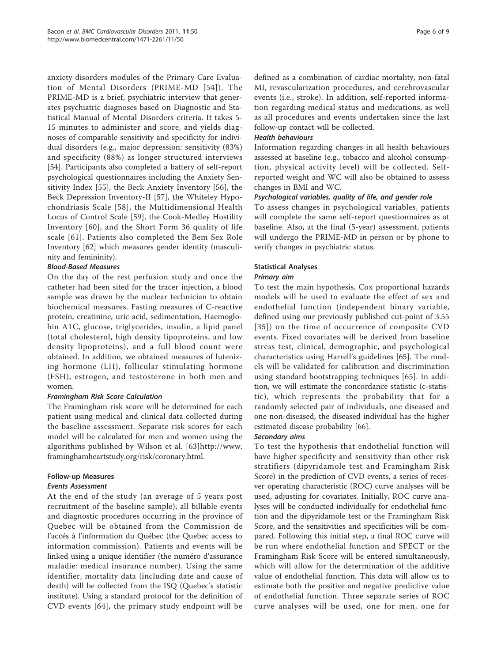anxiety disorders modules of the Primary Care Evaluation of Mental Disorders (PRIME-MD [[54\]](#page-8-0)). The PRIME-MD is a brief, psychiatric interview that generates psychiatric diagnoses based on Diagnostic and Statistical Manual of Mental Disorders criteria. It takes 5- 15 minutes to administer and score, and yields diagnoses of comparable sensitivity and specificity for individual disorders (e.g., major depression: sensitivity (83%) and specificity (88%) as longer structured interviews [[54\]](#page-8-0). Participants also completed a battery of self-report psychological questionnaires including the Anxiety Sensitivity Index [[55\]](#page-8-0), the Beck Anxiety Inventory [[56\]](#page-8-0), the Beck Depression Inventory-II [[57\]](#page-8-0), the Whiteley Hypochondriasis Scale [[58](#page-8-0)], the Multidimensional Health Locus of Control Scale [[59\]](#page-8-0), the Cook-Medley Hostility Inventory [[60](#page-8-0)], and the Short Form 36 quality of life scale [[61](#page-8-0)]. Patients also completed the Bem Sex Role Inventory [\[62](#page-8-0)] which measures gender identity (masculinity and femininity).

## Blood-Based Measures

On the day of the rest perfusion study and once the catheter had been sited for the tracer injection, a blood sample was drawn by the nuclear technician to obtain biochemical measures. Fasting measures of C-reactive protein, creatinine, uric acid, sedimentation, Haemoglobin A1C, glucose, triglycerides, insulin, a lipid panel (total cholesterol, high density lipoproteins, and low density lipoproteins), and a full blood count were obtained. In addition, we obtained measures of lutenizing hormone (LH), follicular stimulating hormone (FSH), estrogen, and testosterone in both men and women.

## Framingham Risk Score Calculation

The Framingham risk score will be determined for each patient using medical and clinical data collected during the baseline assessment. Separate risk scores for each model will be calculated for men and women using the algorithms published by Wilson et al. [[63](#page-8-0)][http://www.](http://www.framinghamheartstudy.org/risk/coronary.html) [framinghamheartstudy.org/risk/coronary.html](http://www.framinghamheartstudy.org/risk/coronary.html).

## Follow-up Measures

## Events Assessment

At the end of the study (an average of 5 years post recruitment of the baseline sample), all billable events and diagnostic procedures occurring in the province of Quebec will be obtained from the Commission de l'accés à l'information du Québec (the Quebec access to information commission). Patients and events will be linked using a unique identifier (the numéro d'assurance maladie: medical insurance number). Using the same identifier, mortality data (including date and cause of death) will be collected from the ISQ (Quebec's statistic institute). Using a standard protocol for the definition of CVD events [\[64\]](#page-8-0), the primary study endpoint will be

defined as a combination of cardiac mortality, non-fatal MI, revascularization procedures, and cerebrovascular events (i.e., stroke). In addition, self-reported information regarding medical status and medications, as well as all procedures and events undertaken since the last follow-up contact will be collected.

## Health behaviours

Information regarding changes in all health behaviours assessed at baseline (e.g., tobacco and alcohol consumption, physical activity level) will be collected. Selfreported weight and WC will also be obtained to assess changes in BMI and WC.

## Psychological variables, quality of life, and gender role

To assess changes in psychological variables, patients will complete the same self-report questionnaires as at baseline. Also, at the final (5-year) assessment, patients will undergo the PRIME-MD in person or by phone to verify changes in psychiatric status.

## Statistical Analyses

## Primary aim

To test the main hypothesis, Cox proportional hazards models will be used to evaluate the effect of sex and endothelial function (independent binary variable, defined using our previously published cut-point of 3.55 [[35](#page-8-0)]) on the time of occurrence of composite CVD events. Fixed covariates will be derived from baseline stress test, clinical, demographic, and psychological characteristics using Harrell's guidelines [\[65\]](#page-8-0). The models will be validated for calibration and discrimination using standard bootstrapping techniques [\[65](#page-8-0)]. In addition, we will estimate the concordance statistic (c-statistic), which represents the probability that for a randomly selected pair of individuals, one diseased and one non-diseased, the diseased individual has the higher estimated disease probability [[66](#page-8-0)].

## Secondary aims

To test the hypothesis that endothelial function will have higher specificity and sensitivity than other risk stratifiers (dipyridamole test and Framingham Risk Score) in the prediction of CVD events, a series of receiver operating characteristic (ROC) curve analyses will be used, adjusting for covariates. Initially, ROC curve analyses will be conducted individually for endothelial function and the dipyridamole test or the Framingham Risk Score, and the sensitivities and specificities will be compared. Following this initial step, a final ROC curve will be run where endothelial function and SPECT or the Framingham Risk Score will be entered simultaneously, which will allow for the determination of the additive value of endothelial function. This data will allow us to estimate both the positive and negative predictive value of endothelial function. Three separate series of ROC curve analyses will be used, one for men, one for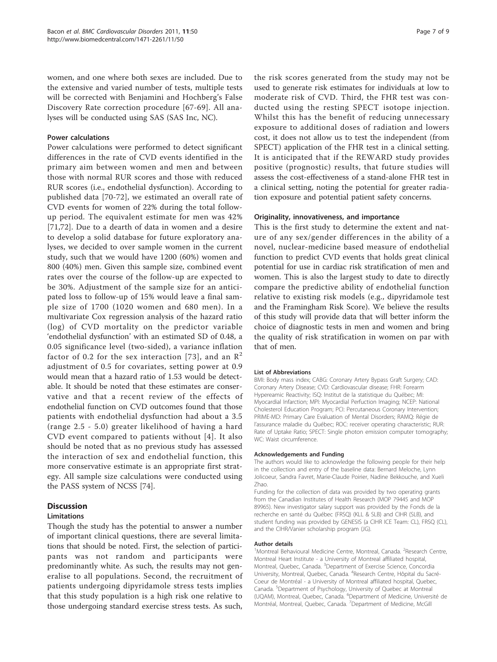women, and one where both sexes are included. Due to the extensive and varied number of tests, multiple tests will be corrected with Benjamini and Hochberg's False Discovery Rate correction procedure [\[67-69\]](#page-8-0). All analyses will be conducted using SAS (SAS Inc, NC).

#### Power calculations

Power calculations were performed to detect significant differences in the rate of CVD events identified in the primary aim between women and men and between those with normal RUR scores and those with reduced RUR scores (i.e., endothelial dysfunction). According to published data [\[70-72](#page-8-0)], we estimated an overall rate of CVD events for women of 22% during the total followup period. The equivalent estimate for men was 42% [[71,72](#page-8-0)]. Due to a dearth of data in women and a desire to develop a solid database for future exploratory analyses, we decided to over sample women in the current study, such that we would have 1200 (60%) women and 800 (40%) men. Given this sample size, combined event rates over the course of the follow-up are expected to be 30%. Adjustment of the sample size for an anticipated loss to follow-up of 15% would leave a final sample size of 1700 (1020 women and 680 men). In a multivariate Cox regression analysis of the hazard ratio (log) of CVD mortality on the predictor variable 'endothelial dysfunction' with an estimated SD of 0.48, a 0.05 significance level (two-sided), a variance inflation factor of 0.2 for the sex interaction [[73\]](#page-8-0), and an  $\mathbb{R}^2$ adjustment of 0.5 for covariates, setting power at 0.9 would mean that a hazard ratio of 1.53 would be detectable. It should be noted that these estimates are conservative and that a recent review of the effects of endothelial function on CVD outcomes found that those patients with endothelial dysfunction had about a 3.5 (range 2.5 - 5.0) greater likelihood of having a hard CVD event compared to patients without [[4](#page-7-0)]. It also should be noted that as no previous study has assessed the interaction of sex and endothelial function, this more conservative estimate is an appropriate first strategy. All sample size calculations were conducted using the PASS system of NCSS [[74\]](#page-8-0).

## **Discussion**

#### Limitations

Though the study has the potential to answer a number of important clinical questions, there are several limitations that should be noted. First, the selection of participants was not random and participants were predominantly white. As such, the results may not generalise to all populations. Second, the recruitment of patients undergoing dipyridamole stress tests implies that this study population is a high risk one relative to those undergoing standard exercise stress tests. As such,

the risk scores generated from the study may not be used to generate risk estimates for individuals at low to moderate risk of CVD. Third, the FHR test was conducted using the resting SPECT isotope injection. Whilst this has the benefit of reducing unnecessary exposure to additional doses of radiation and lowers cost, it does not allow us to test the independent (from SPECT) application of the FHR test in a clinical setting. It is anticipated that if the REWARD study provides positive (prognostic) results, that future studies will assess the cost-effectiveness of a stand-alone FHR test in a clinical setting, noting the potential for greater radiation exposure and potential patient safety concerns.

#### Originality, innovativeness, and importance

This is the first study to determine the extent and nature of any sex/gender differences in the ability of a novel, nuclear-medicine based measure of endothelial function to predict CVD events that holds great clinical potential for use in cardiac risk stratification of men and women. This is also the largest study to date to directly compare the predictive ability of endothelial function relative to existing risk models (e.g., dipyridamole test and the Framingham Risk Score). We believe the results of this study will provide data that will better inform the choice of diagnostic tests in men and women and bring the quality of risk stratification in women on par with that of men.

#### List of Abbreviations

BMI: Body mass index; CABG: Coronary Artery Bypass Graft Surgery; CAD: Coronary Artery Disease; CVD: Cardiovascular disease; FHR: Forearm Hypereamic Reactivity; ISQ: Institut de la statistique du Québec; MI: Myocardial Infarction; MPI: Myocardial Perfuction Imaging; NCEP: National Cholesterol Education Program; PCI: Percutaneous Coronary Intervention; PRIME-MD: Primary Care Evaluation of Mental Disorders; RAMQ: Régie de l'assurance maladie du Québec; ROC: receiver operating characteristic; RUR: Rate of Uptake Ratio; SPECT: Single photon emission computer tomography; WC: Waist circumference.

#### Acknowledgements and Funding

The authors would like to acknowledge the following people for their help in the collection and entry of the baseline data: Bernard Meloche, Lynn Jolicoeur, Sandra Favret, Marie-Claude Poirier, Nadine Bekkouche, and Xueli Zhao.

Funding for the collection of data was provided by two operating grants from the Canadian Institutes of Health Research (MOP 79445 and MOP 89965). New investigator salary support was provided by the Fonds de la recherche en santé du Québec (FRSQ) (KLL & SLB) and CIHR (SLB), and student funding was provided by GENESIS (a CIHR ICE Team: CL), FRSQ (CL), and the CIHR/Vanier scholarship program (JG).

#### Author details

<sup>1</sup>Montreal Behavioural Medicine Centre, Montreal, Canada. <sup>2</sup>Research Centre Montreal Heart Institute - a University of Montreal affiliated hospital, Montreal, Quebec, Canada. <sup>3</sup>Department of Exercise Science, Concordia University, Montreal, Quebec, Canada. <sup>4</sup>Research Centre, Hôpital du Sacré-Coeur de Montréal - a University of Montreal affiliated hospital, Quebec, Canada. <sup>5</sup>Department of Psychology, University of Quebec at Montreal (UQAM), Montreal, Quebec, Canada. <sup>6</sup> Department of Medicine, Université de Montréal, Montreal, Quebec, Canada. <sup>7</sup> Department of Medicine, McGill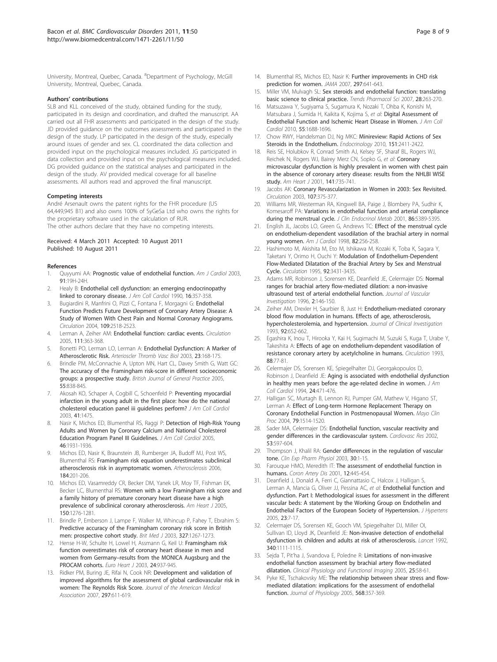<span id="page-7-0"></span>University, Montreal, Quebec, Canada. <sup>8</sup>Department of Psychology, McGill University, Montreal, Quebec, Canada.

#### Authors' contributions

SLB and KLL conceived of the study, obtained funding for the study, participated in its design and coordination, and drafted the manuscript. AA carried out all FHR assessments and participated in the design of the study. JD provided guidance on the outcomes assessments and participated in the design of the study. LP participated in the design of the study, especially around issues of gender and sex. CL coordinated the data collection and provided input on the psychological measures included. JG participated in data collection and provided input on the psychological measures included. DG provided guidance on the statistical analyses and participated in the design of the study. AV provided medical coverage for all baseline assessments. All authors read and approved the final manuscript.

#### Competing interests

André Arsenault owns the patent rights for the FHR procedure (US 64,449,945 B1) and also owns 100% of SyGeSa Ltd who owns the rights for the proprietary software used in the calculation of RUR. The other authors declare that they have no competing interests.

#### Received: 4 March 2011 Accepted: 10 August 2011 Published: 10 August 2011

#### References

- 1. Quyyumi AA: [Prognostic value of endothelial function.](http://www.ncbi.nlm.nih.gov/pubmed/12818731?dopt=Abstract) Am J Cardiol 2003, 91:19H-24H.
- 2. Healy B: [Endothelial cell dysfunction: an emerging endocrinopathy](http://www.ncbi.nlm.nih.gov/pubmed/2197313?dopt=Abstract) [linked to coronary disease.](http://www.ncbi.nlm.nih.gov/pubmed/2197313?dopt=Abstract) J Am Coll Cardiol 1990, 16:357-358.
- 3. Bugiardini R, Manfrini O, Pizzi C, Fontana F, Morgagni G: [Endothelial](http://www.ncbi.nlm.nih.gov/pubmed/15136498?dopt=Abstract) [Function Predicts Future Development of Coronary Artery Disease: A](http://www.ncbi.nlm.nih.gov/pubmed/15136498?dopt=Abstract) [Study of Women With Chest Pain and Normal Coronary Angiograms.](http://www.ncbi.nlm.nih.gov/pubmed/15136498?dopt=Abstract) Circulation 2004, 109:2518-2523.
- 4. Lerman A, Zeiher AM: [Endothelial function: cardiac events.](http://www.ncbi.nlm.nih.gov/pubmed/15668353?dopt=Abstract) Circulation 2005, 111:363-368.
- Bonetti PO, Lerman LO, Lerman A: [Endothelial Dysfunction: A Marker of](http://www.ncbi.nlm.nih.gov/pubmed/12588755?dopt=Abstract) [Atherosclerotic Risk.](http://www.ncbi.nlm.nih.gov/pubmed/12588755?dopt=Abstract) Arterioscler Thromb Vasc Biol 2003, 23:168-175.
- 6. Brindle PM, McConnachie A, Upton MN, Hart CL, Davey Smith G, Watt GC: [The accuracy of the Framingham risk-score in different socioeconomic](http://www.ncbi.nlm.nih.gov/pubmed/16281999?dopt=Abstract) [groups: a prospective study.](http://www.ncbi.nlm.nih.gov/pubmed/16281999?dopt=Abstract) British Journal of General Practice 2005, 55:838-845.
- 7. Akosah KO, Schaper A, Cogbill C, Schoenfeld P: [Preventing myocardial](http://www.ncbi.nlm.nih.gov/pubmed/12742284?dopt=Abstract) [infarction in the young adult in the first place: how do the national](http://www.ncbi.nlm.nih.gov/pubmed/12742284?dopt=Abstract) [cholesterol education panel iii guidelines perform?](http://www.ncbi.nlm.nih.gov/pubmed/12742284?dopt=Abstract) J Am Coll Cardiol 2003, 41:1475.
- Nasir K, Michos ED, Blumenthal RS, Raggi P: [Detection of High-Risk Young](http://www.ncbi.nlm.nih.gov/pubmed/16286182?dopt=Abstract) [Adults and Women by Coronary Calcium and National Cholesterol](http://www.ncbi.nlm.nih.gov/pubmed/16286182?dopt=Abstract) [Education Program Panel III Guidelines.](http://www.ncbi.nlm.nih.gov/pubmed/16286182?dopt=Abstract) J Am Coll Cardiol 2005, 46:1931-1936.
- 9. Michos ED, Nasir K, Braunstein JB, Rumberger JA, Budoff MJ, Post WS, Blumenthal RS: [Framingham risk equation underestimates subclinical](http://www.ncbi.nlm.nih.gov/pubmed/15907856?dopt=Abstract) [atherosclerosis risk in asymptomatic women.](http://www.ncbi.nlm.nih.gov/pubmed/15907856?dopt=Abstract) Atherosclerosis 2006, 184:201-206.
- 10. Michos ED, Vasamreddy CR, Becker DM, Yanek LR, Moy TF, Fishman EK, Becker LC, Blumenthal RS: [Women with a low Framingham risk score and](http://www.ncbi.nlm.nih.gov/pubmed/16338271?dopt=Abstract) [a family history of premature coronary heart disease have a high](http://www.ncbi.nlm.nih.gov/pubmed/16338271?dopt=Abstract) [prevalence of subclinical coronary atherosclerosis.](http://www.ncbi.nlm.nih.gov/pubmed/16338271?dopt=Abstract) Am Heart J 2005, 150:1276-1281.
- 11. Brindle P, Emberson J, Lampe F, Walker M, Whincup P, Fahey T, Ebrahim S: [Predictive accuracy of the Framingham coronary risk score in British](http://www.ncbi.nlm.nih.gov/pubmed/14644971?dopt=Abstract) [men: prospective cohort study.](http://www.ncbi.nlm.nih.gov/pubmed/14644971?dopt=Abstract) Brit Med J 2003, 327:1267-1273.
- Hense H-W, Schulte H, Lowel H, Assmann G, Keil U: Framingham risk function overestimates risk of coronary heart disease in men and women from Germany–results from the MONICA Augsburg and the PROCAM cohorts. Euro Heart J 2003, 24:937-945.
- 13. Ridker PM, Buring JE, Rifai N, Cook NR: Development and validation of improved algorithms for the assessment of global cardiovascular risk in women: The Reynolds Risk Score. Jounral of the American Medical Association 2007, 297:611-619.
- 14. Blumenthal RS, Michos ED, Nasir K: [Further improvements in CHD risk](http://www.ncbi.nlm.nih.gov/pubmed/17299201?dopt=Abstract) [prediction for women.](http://www.ncbi.nlm.nih.gov/pubmed/17299201?dopt=Abstract) JAMA 2007, 297:641-643.
- 15. Miller VM, Mulvagh SL: Sex [steroids and endothelial function: translating](http://www.ncbi.nlm.nih.gov/pubmed/17466385?dopt=Abstract) [basic science to clinical practice.](http://www.ncbi.nlm.nih.gov/pubmed/17466385?dopt=Abstract) Trends Pharmacol Sci 2007, 28:263-270.
- 16. Matsuzawa Y, Sugiyama S, Sugamura K, Nozaki T, Ohba K, Konishi M, Matsubara J, Sumida H, Kaikita K, Kojima S, et al: [Digital Assessment of](http://www.ncbi.nlm.nih.gov/pubmed/20394872?dopt=Abstract) [Endothelial Function and Ischemic Heart Disease in Women.](http://www.ncbi.nlm.nih.gov/pubmed/20394872?dopt=Abstract) J Am Coll Cardiol 2010, 55:1688-1696.
- 17. Chow RWY, Handelsman DJ, Ng MKC: [Minireview: Rapid Actions of Sex](http://www.ncbi.nlm.nih.gov/pubmed/20392826?dopt=Abstract) [Steroids in the Endothelium.](http://www.ncbi.nlm.nih.gov/pubmed/20392826?dopt=Abstract) Endocrinology 2010, 151:2411-2422.
- 18. Reis SE, Holubkov R, Conrad Smith AJ, Kelsey SF, Sharaf BL, Rogers WJ, Reichek N, Rogers WJ, Bairey Merz CN, Sopko G, et al: [Coronary](http://www.ncbi.nlm.nih.gov/pubmed/11320360?dopt=Abstract) [microvascular dysfunction is highly prevalent in women with chest pain](http://www.ncbi.nlm.nih.gov/pubmed/11320360?dopt=Abstract) [in the absence of coronary artery disease: results from the NHLBI WISE](http://www.ncbi.nlm.nih.gov/pubmed/11320360?dopt=Abstract) [study.](http://www.ncbi.nlm.nih.gov/pubmed/11320360?dopt=Abstract) Am Heart J 2001, 141:735-741.
- 19. Jacobs AK: [Coronary Revascularization in Women in 2003: Sex Revisited.](http://www.ncbi.nlm.nih.gov/pubmed/12551856?dopt=Abstract) Circulation 2003, 107:375-377.
- 20. Williams MR, Westerman RA, Kingwell BA, Paige J, Blombery PA, Sudhir K, Komesaroff PA: [Variations in endothelial function and arterial compliance](http://www.ncbi.nlm.nih.gov/pubmed/11701712?dopt=Abstract) [during the menstrual cycle.](http://www.ncbi.nlm.nih.gov/pubmed/11701712?dopt=Abstract) J Clin Endocrinol Metab 2001, 86:5389-5395.
- 21. English JL, Jacobs LO, Green G, Andrews TC: [Effect of the menstrual cycle](http://www.ncbi.nlm.nih.gov/pubmed/9678305?dopt=Abstract) [on endothelium-dependent vasodilation of the brachial artery in normal](http://www.ncbi.nlm.nih.gov/pubmed/9678305?dopt=Abstract) [young women.](http://www.ncbi.nlm.nih.gov/pubmed/9678305?dopt=Abstract) Am J Cardiol 1998, 82:256-258.
- 22. Hashimoto M, Akishita M, Eto M, Ishikawa M, Kozaki K, Toba K, Sagara Y, Taketani Y, Orimo H, Ouchi Y: [Modulation of Endothelium-Dependent](http://www.ncbi.nlm.nih.gov/pubmed/8521564?dopt=Abstract) [Flow-Mediated Dilatation of the Brachial Artery by Sex and Menstrual](http://www.ncbi.nlm.nih.gov/pubmed/8521564?dopt=Abstract) [Cycle.](http://www.ncbi.nlm.nih.gov/pubmed/8521564?dopt=Abstract) Circulation 1995, 92:3431-3435.
- 23. Adams MR, Robinson J, Sorensen KE, Deanfield JE, Celermajer DS: Normal ranges for brachial artery flow-mediated dilation: a non-invasive ultrasound test of arterial endothelial function. Journal of Vascular Investigation 1996, 2:146-150.
- 24. Zeiher AM, Drexler H, Saurbier B, Just H: [Endothelium-mediated coronary](http://www.ncbi.nlm.nih.gov/pubmed/8349804?dopt=Abstract) [blood flow modulation in humans. Effects of age, atherosclerosis,](http://www.ncbi.nlm.nih.gov/pubmed/8349804?dopt=Abstract) [hypercholesterolemia, and hypertension.](http://www.ncbi.nlm.nih.gov/pubmed/8349804?dopt=Abstract) Journal of Clinical Investigation 1993, 92:652-662.
- 25. Egashira K, Inou T, Hirooka Y, Kai H, Sugimachi M, Suzuki S, Kuga T, Urabe Y, Takeshita A: [Effects of age on endothelium-dependent vasodilation of](http://www.ncbi.nlm.nih.gov/pubmed/8319359?dopt=Abstract) [resistance coronary artery by acetylcholine in humans.](http://www.ncbi.nlm.nih.gov/pubmed/8319359?dopt=Abstract) Circulation 1993, 88:77-81.
- 26. Celermajer DS, Sorensen KE, Spiegelhalter DJ, Georgakopoulos D, Robinson J, Deanfield JE: [Aging is associated with endothelial dysfunction](http://www.ncbi.nlm.nih.gov/pubmed/8034885?dopt=Abstract) [in healthy men years before the age-related decline in women.](http://www.ncbi.nlm.nih.gov/pubmed/8034885?dopt=Abstract) J Am Coll Cardiol 1994, 24:471-476.
- 27. Halligan SC, Murtagh B, Lennon RJ, Pumper GM, Mathew V, Higano ST, Lerman A: [Effect of Long-term Hormone Replacement Therapy on](http://www.ncbi.nlm.nih.gov/pubmed/15595335?dopt=Abstract) [Coronary Endothelial Function in Postmenopausal Women.](http://www.ncbi.nlm.nih.gov/pubmed/15595335?dopt=Abstract) Mayo Clin Proc 2004, 79:1514-1520.
- 28. Sader MA, Celermajer DS: [Endothelial function, vascular reactivity and](http://www.ncbi.nlm.nih.gov/pubmed/11861030?dopt=Abstract) [gender differences in the cardiovascular system.](http://www.ncbi.nlm.nih.gov/pubmed/11861030?dopt=Abstract) Cardiovasc Res 2002, 53:597-604.
- 29. Thompson J, Khalil RA: Gender differences in the regulation of vascular tone. Clin Exp Pharm Physiol 2003, 30:1-15.
- Farouque HMO, Meredith IT: [The assessment of endothelial function in](http://www.ncbi.nlm.nih.gov/pubmed/11696683?dopt=Abstract) [humans.](http://www.ncbi.nlm.nih.gov/pubmed/11696683?dopt=Abstract) Coron Artery Dis 2001, 12:445-454.
- 31. Deanfield J, Donald A, Ferri C, Giannattasio C, Halcox J, Halligan S, Lerman A, Mancia G, Oliver JJ, Pessina AC, et al: [Endothelial function and](http://www.ncbi.nlm.nih.gov/pubmed/15643116?dopt=Abstract) [dysfunction. Part I: Methodological issues for assessment in the different](http://www.ncbi.nlm.nih.gov/pubmed/15643116?dopt=Abstract) [vascular beds: A statement by the Working Group on Endothelin and](http://www.ncbi.nlm.nih.gov/pubmed/15643116?dopt=Abstract) [Endothelial Factors of the European Society of Hypertension.](http://www.ncbi.nlm.nih.gov/pubmed/15643116?dopt=Abstract) J Hypertens 2005, 23:7-17.
- 32. Celermajer DS, Sorensen KE, Gooch VM, Spiegelhalter DJ, Miller OI, Sullivan ID, Lloyd JK, Deanfield JE: [Non-invasive detection of endothelial](http://www.ncbi.nlm.nih.gov/pubmed/1359209?dopt=Abstract) [dysfunction in children and adults at risk of atherosclerosis.](http://www.ncbi.nlm.nih.gov/pubmed/1359209?dopt=Abstract) Lancet 1992, 340:1111-1115.
- 33. Sejda T, Pit'ha J, Svandova E, Poledne R: [Limitations of non-invasive](http://www.ncbi.nlm.nih.gov/pubmed/15659082?dopt=Abstract) [endothelial function assessment by brachial artery flow-mediated](http://www.ncbi.nlm.nih.gov/pubmed/15659082?dopt=Abstract) [dilatation.](http://www.ncbi.nlm.nih.gov/pubmed/15659082?dopt=Abstract) Clinical Physiology and Functional Imaging 2005, 25:58-61.
- 34. Pyke KE, Tschakovsky ME: [The relationship between shear stress and flow](http://www.ncbi.nlm.nih.gov/pubmed/16051630?dopt=Abstract)[mediated dilatation: implications for the assessment of endothelial](http://www.ncbi.nlm.nih.gov/pubmed/16051630?dopt=Abstract) [function.](http://www.ncbi.nlm.nih.gov/pubmed/16051630?dopt=Abstract) Journal of Physiology 2005, 568:357-369.